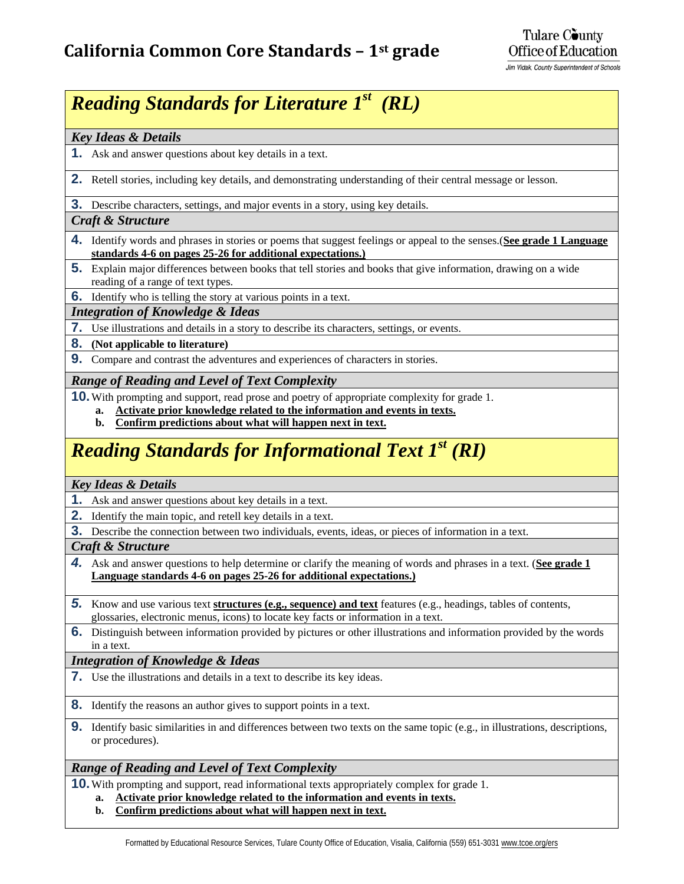Jim Vidak, County Superintendent of Schools

# *Reading Standards for Literature 1st (RL)*

### *Key Ideas & Details*

- **1.** Ask and answer questions about key details in a text.
- **2.** Retell stories, including key details, and demonstrating understanding of their central message or lesson.

**3.** Describe characters, settings, and major events in a story, using key details.

### *Craft & Structure*

- **4.** Identify words and phrases in stories or poems that suggest feelings or appeal to the senses.(**See grade 1 Language standards 4-6 on pages 25-26 for additional expectations.)**
- **5.** Explain major differences between books that tell stories and books that give information, drawing on a wide reading of a range of text types.
- **6.** Identify who is telling the story at various points in a text.

### *Integration of Knowledge & Ideas*

- **7.** Use illustrations and details in a story to describe its characters, settings, or events.
- **8. (Not applicable to literature)**
- **9.** Compare and contrast the adventures and experiences of characters in stories.

### *Range of Reading and Level of Text Complexity*

- **10.** With prompting and support, read prose and poetry of appropriate complexity for grade 1.
	- **a. Activate prior knowledge related to the information and events in texts.**
	- **b. Confirm predictions about what will happen next in text.**

# *Reading Standards for Informational Text 1st (RI)*

### *Key Ideas & Details*

- **1.** Ask and answer questions about key details in a text.
- **2.** Identify the main topic, and retell key details in a text.
- **3.** Describe the connection between two individuals, events, ideas, or pieces of information in a text.

### *Craft & Structure*

- *4.* Ask and answer questions to help determine or clarify the meaning of words and phrases in a text. (**See grade 1 Language standards 4-6 on pages 25-26 for additional expectations.)**
- *5.* Know and use various text **structures (e.g., sequence) and text** features (e.g., headings, tables of contents, glossaries, electronic menus, icons) to locate key facts or information in a text.
- **6.** Distinguish between information provided by pictures or other illustrations and information provided by the words in a text.

### *Integration of Knowledge & Ideas*

**7.** Use the illustrations and details in a text to describe its key ideas.

**8.** Identify the reasons an author gives to support points in a text.

**9.** Identify basic similarities in and differences between two texts on the same topic (e.g., in illustrations, descriptions, or procedures).

### *Range of Reading and Level of Text Complexity*

**10.** With prompting and support, read informational texts appropriately complex for grade 1.

- **a. Activate prior knowledge related to the information and events in texts.**
- **b. Confirm predictions about what will happen next in text.**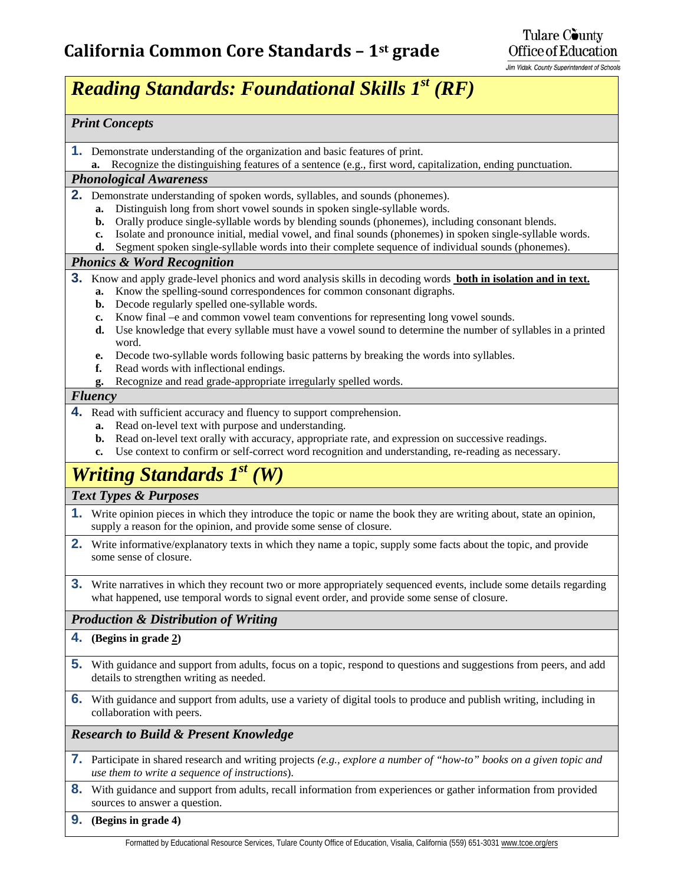Jim Vidak, County Superintendent of Schools

# *Reading Standards: Foundational Skills 1st (RF)*

### *Print Concepts*

**1.** Demonstrate understanding of the organization and basic features of print.

**a.** Recognize the distinguishing features of a sentence (e.g., first word, capitalization, ending punctuation.

### *Phonological Awareness*

- **2.** Demonstrate understanding of spoken words, syllables, and sounds (phonemes).
	- **a.** Distinguish long from short vowel sounds in spoken single-syllable words.
	- **b.** Orally produce single-syllable words by blending sounds (phonemes), including consonant blends.
	- **c.** Isolate and pronounce initial, medial vowel, and final sounds (phonemes) in spoken single-syllable words.
	- **d.** Segment spoken single-syllable words into their complete sequence of individual sounds (phonemes).

### *Phonics & Word Recognition*

- **3.** Know and apply grade-level phonics and word analysis skills in decoding words **both in isolation and in text.**
	- **a.** Know the spelling-sound correspondences for common consonant digraphs.
	- **b.** Decode regularly spelled one-syllable words.
	- **c.** Know final –e and common vowel team conventions for representing long vowel sounds.
	- **d.** Use knowledge that every syllable must have a vowel sound to determine the number of syllables in a printed word.
	- **e.** Decode two-syllable words following basic patterns by breaking the words into syllables.
	- **f.** Read words with inflectional endings.
	- **g.** Recognize and read grade-appropriate irregularly spelled words.

### *Fluency*

- **4.** Read with sufficient accuracy and fluency to support comprehension.
	- **a.** Read on-level text with purpose and understanding.
	- **b.** Read on-level text orally with accuracy, appropriate rate, and expression on successive readings.
	- **c.** Use context to confirm or self-correct word recognition and understanding, re-reading as necessary.

# *Writing Standards 1st (W)*

### *Text Types & Purposes*

- **1.** Write opinion pieces in which they introduce the topic or name the book they are writing about, state an opinion, supply a reason for the opinion, and provide some sense of closure.
- **2.** Write informative/explanatory texts in which they name a topic, supply some facts about the topic, and provide some sense of closure.
- **3.** Write narratives in which they recount two or more appropriately sequenced events, include some details regarding what happened, use temporal words to signal event order, and provide some sense of closure.

### *Production & Distribution of Writing*

### **4. (Begins in grade 2)**

- **5.** With guidance and support from adults, focus on a topic, respond to questions and suggestions from peers, and add details to strengthen writing as needed.
- **6.** With guidance and support from adults, use a variety of digital tools to produce and publish writing, including in collaboration with peers.

### *Research to Build & Present Knowledge*

- **7.** Participate in shared research and writing projects *(e.g., explore a number of "how-to" books on a given topic and use them to write a sequence of instructions*).
- **8.** With guidance and support from adults, recall information from experiences or gather information from provided sources to answer a question.
- **9. (Begins in grade 4)**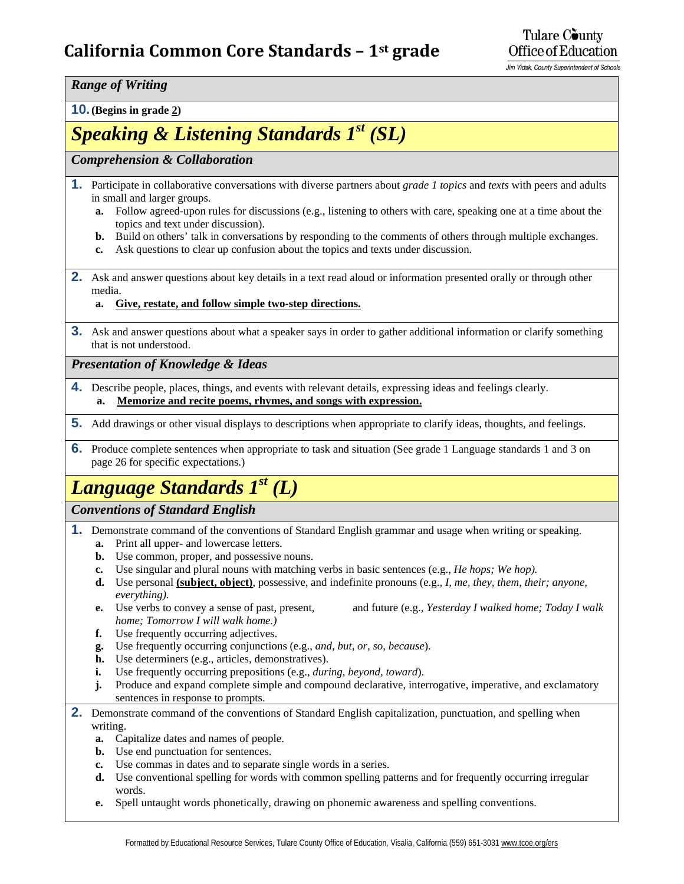## **California Common Core Standards – 1st grade**

Jim Vidak, County Superintendent of Schools

*Range of Writing*

**10. (Begins in grade 2)**

# *Speaking & Listening Standards 1st (SL)*

### *Comprehension & Collaboration*

- **1.** Participate in collaborative conversations with diverse partners about *grade 1 topics* and *texts* with peers and adults in small and larger groups.
	- **a.** Follow agreed-upon rules for discussions (e.g., listening to others with care, speaking one at a time about the topics and text under discussion).
	- **b.** Build on others' talk in conversations by responding to the comments of others through multiple exchanges.
	- **c.** Ask questions to clear up confusion about the topics and texts under discussion.
- **2.** Ask and answer questions about key details in a text read aloud or information presented orally or through other media.

### **a. Give, restate, and follow simple two-step directions.**

**3.** Ask and answer questions about what a speaker says in order to gather additional information or clarify something that is not understood.

*Presentation of Knowledge & Ideas*

- **4.** Describe people, places, things, and events with relevant details, expressing ideas and feelings clearly. **a. Memorize and recite poems, rhymes, and songs with expression.**
- **5.** Add drawings or other visual displays to descriptions when appropriate to clarify ideas, thoughts, and feelings.
- **6.** Produce complete sentences when appropriate to task and situation (See grade 1 Language standards 1 and 3 on page 26 for specific expectations.)

# *Language Standards 1st (L)*

### *Conventions of Standard English*

- **1.** Demonstrate command of the conventions of Standard English grammar and usage when writing or speaking. **a.** Print all upper- and lowercase letters.
	- **b.** Use common, proper, and possessive nouns.
	- **c.** Use singular and plural nouns with matching verbs in basic sentences (e.g., *He hops; We hop).*
	- **d.** Use personal **(subject, object)**, possessive, and indefinite pronouns (e.g., *I, me, they, them, their; anyone, everything).*
	- **e.** Use verbs to convey a sense of past, present, and future (e.g., *Yesterday I walked home; Today I walk home; Tomorrow I will walk home.)*
	- **f.** Use frequently occurring adjectives.
	- **g.** Use frequently occurring conjunctions (e.g., *and, but, or, so, because*).
	- **h.** Use determiners (e.g., articles, demonstratives).
	- **i.** Use frequently occurring prepositions (e.g., *during, beyond, toward*).
	- **j.** Produce and expand complete simple and compound declarative, interrogative, imperative, and exclamatory sentences in response to prompts.
- **2.** Demonstrate command of the conventions of Standard English capitalization, punctuation, and spelling when writing.
	- **a.** Capitalize dates and names of people.
	- **b.** Use end punctuation for sentences.
	- **c.** Use commas in dates and to separate single words in a series.
	- **d.** Use conventional spelling for words with common spelling patterns and for frequently occurring irregular words.
	- **e.** Spell untaught words phonetically, drawing on phonemic awareness and spelling conventions.